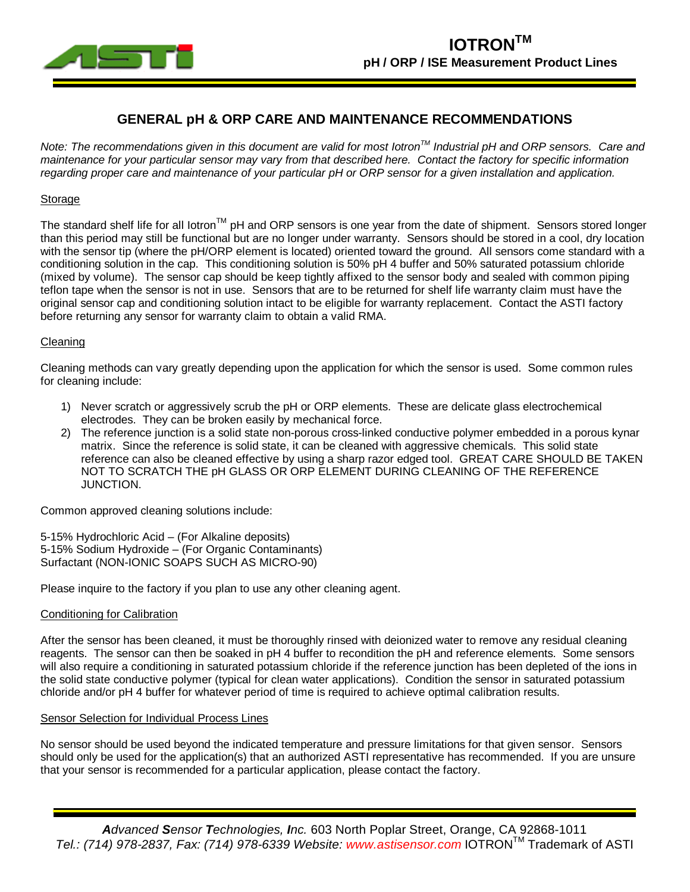



# **GENERAL pH & ORP CARE AND MAINTENANCE RECOMMENDATIONS**

*Note: The recommendations given in this document are valid for most IotronTM Industrial pH and ORP sensors. Care and maintenance for your particular sensor may vary from that described here. Contact the factory for specific information regarding proper care and maintenance of your particular pH or ORP sensor for a given installation and application.*

# **Storage**

The standard shelf life for all lotron<sup>TM</sup> pH and ORP sensors is one year from the date of shipment. Sensors stored longer than this period may still be functional but are no longer under warranty. Sensors should be stored in a cool, dry location with the sensor tip (where the pH/ORP element is located) oriented toward the ground. All sensors come standard with a conditioning solution in the cap. This conditioning solution is 50% pH 4 buffer and 50% saturated potassium chloride (mixed by volume). The sensor cap should be keep tightly affixed to the sensor body and sealed with common piping teflon tape when the sensor is not in use. Sensors that are to be returned for shelf life warranty claim must have the original sensor cap and conditioning solution intact to be eligible for warranty replacement. Contact the ASTI factory before returning any sensor for warranty claim to obtain a valid RMA.

#### Cleaning

Cleaning methods can vary greatly depending upon the application for which the sensor is used. Some common rules for cleaning include:

- 1) Never scratch or aggressively scrub the pH or ORP elements. These are delicate glass electrochemical electrodes. They can be broken easily by mechanical force.
- 2) The reference junction is a solid state non-porous cross-linked conductive polymer embedded in a porous kynar matrix. Since the reference is solid state, it can be cleaned with aggressive chemicals. This solid state reference can also be cleaned effective by using a sharp razor edged tool. GREAT CARE SHOULD BE TAKEN NOT TO SCRATCH THE pH GLASS OR ORP ELEMENT DURING CLEANING OF THE REFERENCE JUNCTION.

Common approved cleaning solutions include:

5-15% Hydrochloric Acid – (For Alkaline deposits) 5-15% Sodium Hydroxide – (For Organic Contaminants) Surfactant (NON-IONIC SOAPS SUCH AS MICRO-90)

Please inquire to the factory if you plan to use any other cleaning agent.

#### Conditioning for Calibration

After the sensor has been cleaned, it must be thoroughly rinsed with deionized water to remove any residual cleaning reagents. The sensor can then be soaked in pH 4 buffer to recondition the pH and reference elements. Some sensors will also require a conditioning in saturated potassium chloride if the reference junction has been depleted of the ions in the solid state conductive polymer (typical for clean water applications). Condition the sensor in saturated potassium chloride and/or pH 4 buffer for whatever period of time is required to achieve optimal calibration results.

#### Sensor Selection for Individual Process Lines

No sensor should be used beyond the indicated temperature and pressure limitations for that given sensor. Sensors should only be used for the application(s) that an authorized ASTI representative has recommended. If you are unsure that your sensor is recommended for a particular application, please contact the factory.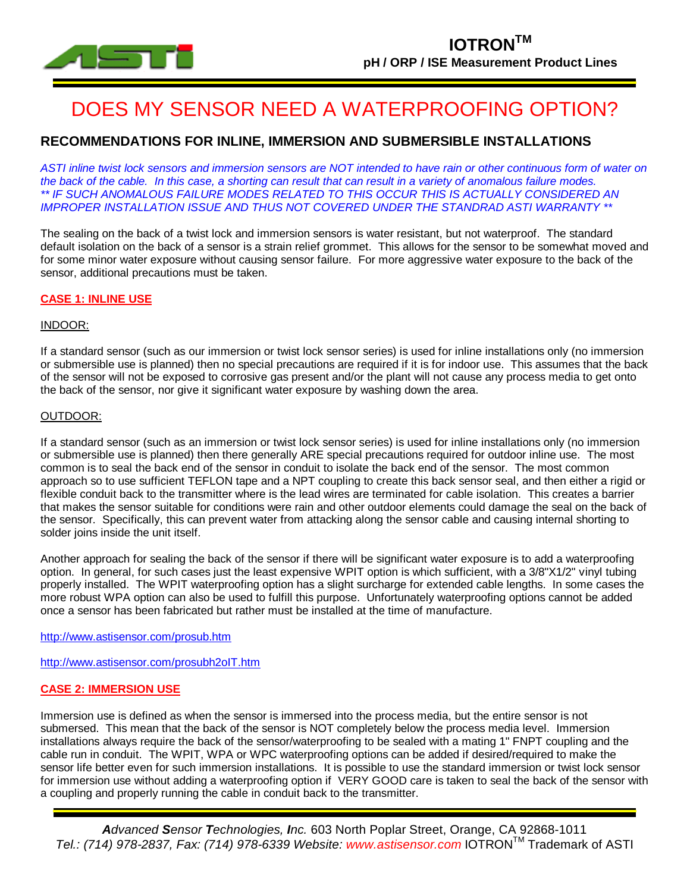

# DOES MY SENSOR NEED A WATERPROOFING OPTION?

# **RECOMMENDATIONS FOR INLINE, IMMERSION AND SUBMERSIBLE INSTALLATIONS**

*ASTI inline twist lock sensors and immersion sensors are NOT intended to have rain or other continuous form of water on the back of the cable. In this case, a shorting can result that can result in a variety of anomalous failure modes. \*\* IF SUCH ANOMALOUS FAILURE MODES RELATED TO THIS OCCUR THIS IS ACTUALLY CONSIDERED AN IMPROPER INSTALLATION ISSUE AND THUS NOT COVERED UNDER THE STANDRAD ASTI WARRANTY \*\**

The sealing on the back of a twist lock and immersion sensors is water resistant, but not waterproof. The standard default isolation on the back of a sensor is a strain relief grommet. This allows for the sensor to be somewhat moved and for some minor water exposure without causing sensor failure. For more aggressive water exposure to the back of the sensor, additional precautions must be taken.

#### **CASE 1: INLINE USE**

#### INDOOR:

If a standard sensor (such as our immersion or twist lock sensor series) is used for inline installations only (no immersion or submersible use is planned) then no special precautions are required if it is for indoor use. This assumes that the back of the sensor will not be exposed to corrosive gas present and/or the plant will not cause any process media to get onto the back of the sensor, nor give it significant water exposure by washing down the area.

## OUTDOOR:

If a standard sensor (such as an immersion or twist lock sensor series) is used for inline installations only (no immersion or submersible use is planned) then there generally ARE special precautions required for outdoor inline use. The most common is to seal the back end of the sensor in conduit to isolate the back end of the sensor. The most common approach so to use sufficient TEFLON tape and a NPT coupling to create this back sensor seal, and then either a rigid or flexible conduit back to the transmitter where is the lead wires are terminated for cable isolation. This creates a barrier that makes the sensor suitable for conditions were rain and other outdoor elements could damage the seal on the back of the sensor. Specifically, this can prevent water from attacking along the sensor cable and causing internal shorting to solder joins inside the unit itself.

Another approach for sealing the back of the sensor if there will be significant water exposure is to add a waterproofing option. In general, for such cases just the least expensive WPIT option is which sufficient, with a 3/8"X1/2" vinyl tubing properly installed. The WPIT waterproofing option has a slight surcharge for extended cable lengths. In some cases the more robust WPA option can also be used to fulfill this purpose. Unfortunately waterproofing options cannot be added once a sensor has been fabricated but rather must be installed at the time of manufacture.

<http://www.astisensor.com/prosub.htm>

<http://www.astisensor.com/prosubh2oIT.htm>

## **CASE 2: IMMERSION USE**

Immersion use is defined as when the sensor is immersed into the process media, but the entire sensor is not submersed. This mean that the back of the sensor is NOT completely below the process media level. Immersion installations always require the back of the sensor/waterproofing to be sealed with a mating 1" FNPT coupling and the cable run in conduit. The WPIT, WPA or WPC waterproofing options can be added if desired/required to make the sensor life better even for such immersion installations. It is possible to use the standard immersion or twist lock sensor for immersion use without adding a waterproofing option if VERY GOOD care is taken to seal the back of the sensor with a coupling and properly running the cable in conduit back to the transmitter.